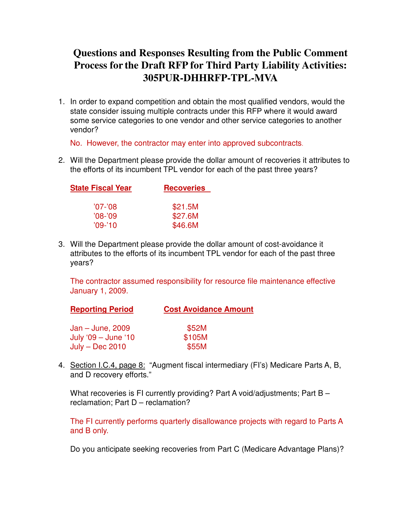## **Questions and Responses Resulting from the Public Comment Process for the Draft RFP for Third Party Liability Activities: 305PUR-DHHRFP-TPL-MVA**

1. In order to expand competition and obtain the most qualified vendors, would the state consider issuing multiple contracts under this RFP where it would award some service categories to one vendor and other service categories to another vendor?

No. However, the contractor may enter into approved subcontracts.

2. Will the Department please provide the dollar amount of recoveries it attributes to the efforts of its incumbent TPL vendor for each of the past three years?

| State Fiscal Year | <b>Recoveries</b> |  |
|-------------------|-------------------|--|
|                   |                   |  |
| $'07 -'08$        | \$21.5M           |  |
| $'08 - '09$       | \$27.6M           |  |
| $'09-'10'$        | \$46.6M           |  |

3. Will the Department please provide the dollar amount of cost-avoidance it attributes to the efforts of its incumbent TPL vendor for each of the past three years?

The contractor assumed responsibility for resource file maintenance effective January 1, 2009.

| <b>Reporting Period</b> | <b>Cost Avoidance Amount</b> |  |  |
|-------------------------|------------------------------|--|--|
| $Jan - June, 2009$      | \$52M                        |  |  |
| July '09 - June '10     | \$105M                       |  |  |
| $July - Dec 2010$       | \$55M                        |  |  |

4. Section I.C.4, page 8: "Augment fiscal intermediary (FI's) Medicare Parts A, B, and D recovery efforts."

What recoveries is FI currently providing? Part A void/adjustments; Part B reclamation; Part D – reclamation?

The FI currently performs quarterly disallowance projects with regard to Parts A and B only.

Do you anticipate seeking recoveries from Part C (Medicare Advantage Plans)?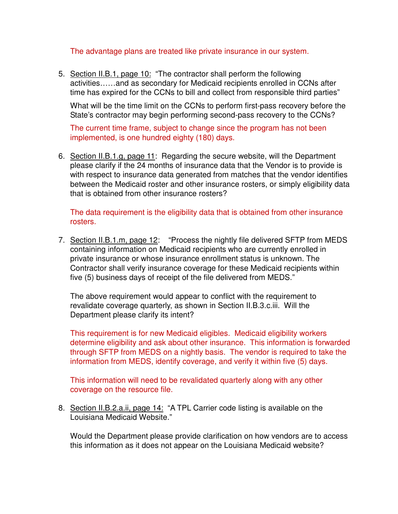The advantage plans are treated like private insurance in our system.

5. Section II.B.1, page 10: "The contractor shall perform the following activities……and as secondary for Medicaid recipients enrolled in CCNs after time has expired for the CCNs to bill and collect from responsible third parties"

What will be the time limit on the CCNs to perform first-pass recovery before the State's contractor may begin performing second-pass recovery to the CCNs?

The current time frame, subject to change since the program has not been implemented, is one hundred eighty (180) days.

6. Section II.B.1.g, page 11: Regarding the secure website, will the Department please clarify if the 24 months of insurance data that the Vendor is to provide is with respect to insurance data generated from matches that the vendor identifies between the Medicaid roster and other insurance rosters, or simply eligibility data that is obtained from other insurance rosters?

The data requirement is the eligibility data that is obtained from other insurance rosters.

7. Section II.B.1.m, page 12: "Process the nightly file delivered SFTP from MEDS containing information on Medicaid recipients who are currently enrolled in private insurance or whose insurance enrollment status is unknown. The Contractor shall verify insurance coverage for these Medicaid recipients within five (5) business days of receipt of the file delivered from MEDS."

The above requirement would appear to conflict with the requirement to revalidate coverage quarterly, as shown in Section II.B.3.c.iii. Will the Department please clarify its intent?

This requirement is for new Medicaid eligibles. Medicaid eligibility workers determine eligibility and ask about other insurance. This information is forwarded through SFTP from MEDS on a nightly basis. The vendor is required to take the information from MEDS, identify coverage, and verify it within five (5) days.

This information will need to be revalidated quarterly along with any other coverage on the resource file.

8. Section II.B.2.a.ii, page 14: "A TPL Carrier code listing is available on the Louisiana Medicaid Website."

Would the Department please provide clarification on how vendors are to access this information as it does not appear on the Louisiana Medicaid website?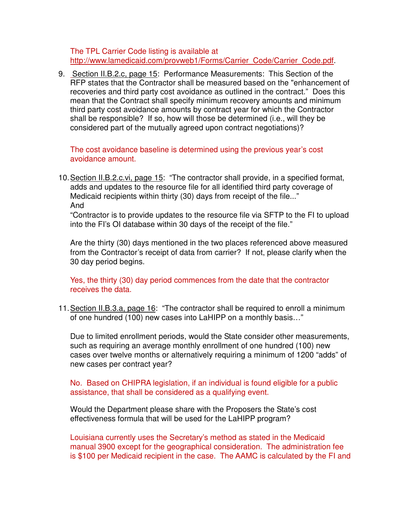The TPL Carrier Code listing is available at http://www.lamedicaid.com/provweb1/Forms/Carrier\_Code/Carrier\_Code.pdf.

9. Section II.B.2.c, page 15: Performance Measurements: This Section of the RFP states that the Contractor shall be measured based on the "enhancement of recoveries and third party cost avoidance as outlined in the contract." Does this mean that the Contract shall specify minimum recovery amounts and minimum third party cost avoidance amounts by contract year for which the Contractor shall be responsible? If so, how will those be determined (i.e., will they be considered part of the mutually agreed upon contract negotiations)?

The cost avoidance baseline is determined using the previous year's cost avoidance amount.

10. Section II.B.2.c.vi, page 15: "The contractor shall provide, in a specified format, adds and updates to the resource file for all identified third party coverage of Medicaid recipients within thirty (30) days from receipt of the file..." And

"Contractor is to provide updates to the resource file via SFTP to the FI to upload into the FI's OI database within 30 days of the receipt of the file."

Are the thirty (30) days mentioned in the two places referenced above measured from the Contractor's receipt of data from carrier? If not, please clarify when the 30 day period begins.

Yes, the thirty (30) day period commences from the date that the contractor receives the data.

11. Section II.B.3.a, page 16: "The contractor shall be required to enroll a minimum of one hundred (100) new cases into LaHIPP on a monthly basis…"

Due to limited enrollment periods, would the State consider other measurements, such as requiring an average monthly enrollment of one hundred (100) new cases over twelve months or alternatively requiring a minimum of 1200 "adds" of new cases per contract year?

No. Based on CHIPRA legislation, if an individual is found eligible for a public assistance, that shall be considered as a qualifying event.

Would the Department please share with the Proposers the State's cost effectiveness formula that will be used for the LaHIPP program?

Louisiana currently uses the Secretary's method as stated in the Medicaid manual 3900 except for the geographical consideration. The administration fee is \$100 per Medicaid recipient in the case. The AAMC is calculated by the FI and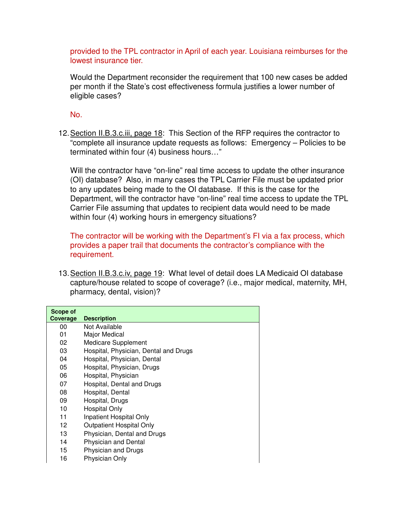provided to the TPL contractor in April of each year. Louisiana reimburses for the lowest insurance tier.

Would the Department reconsider the requirement that 100 new cases be added per month if the State's cost effectiveness formula justifies a lower number of eligible cases?

No.

12. Section II.B.3.c.iii, page 18: This Section of the RFP requires the contractor to "complete all insurance update requests as follows: Emergency – Policies to be terminated within four (4) business hours…"

Will the contractor have "on-line" real time access to update the other insurance (OI) database? Also, in many cases the TPL Carrier File must be updated prior to any updates being made to the OI database. If this is the case for the Department, will the contractor have "on-line" real time access to update the TPL Carrier File assuming that updates to recipient data would need to be made within four (4) working hours in emergency situations?

The contractor will be working with the Department's FI via a fax process, which provides a paper trail that documents the contractor's compliance with the requirement.

13. Section II.B.3.c.iv, page 19: What level of detail does LA Medicaid OI database capture/house related to scope of coverage? (i.e., major medical, maternity, MH, pharmacy, dental, vision)?

| Scope of<br>Coverage | <b>Description</b>                    |
|----------------------|---------------------------------------|
| 00                   | Not Available                         |
| 01                   | Major Medical                         |
| 02                   | Medicare Supplement                   |
| 03                   | Hospital, Physician, Dental and Drugs |
| 04                   | Hospital, Physician, Dental           |
| 05                   | Hospital, Physician, Drugs            |
| 06                   | Hospital, Physician                   |
| 07                   | Hospital, Dental and Drugs            |
| 08                   | Hospital, Dental                      |
| 09                   | Hospital, Drugs                       |
| 10                   | <b>Hospital Only</b>                  |
| 11                   | Inpatient Hospital Only               |
| 12                   | <b>Outpatient Hospital Only</b>       |
| 13                   | Physician, Dental and Drugs           |
| 14                   | <b>Physician and Dental</b>           |
| 15                   | Physician and Drugs                   |
| 16                   | Physician Only                        |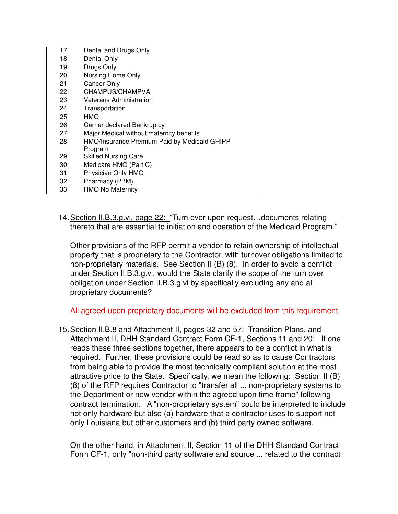| 17 | Dental and Drugs Only                        |
|----|----------------------------------------------|
| 18 | Dental Only                                  |
| 19 | Drugs Only                                   |
| 20 | Nursing Home Only                            |
| 21 | Cancer Only                                  |
| 22 | CHAMPUS/CHAMPVA                              |
| 23 | Veterans Administration                      |
| 24 | Transportation                               |
| 25 | HMO                                          |
| 26 | Carrier declared Bankruptcy                  |
| 27 | Major Medical without maternity benefits     |
| 28 | HMO/Insurance Premium Paid by Medicaid GHIPP |
|    | Program                                      |
| 29 | <b>Skilled Nursing Care</b>                  |
| 30 | Medicare HMO (Part C)                        |
| 31 | Physician Only HMO                           |
| 32 | Pharmacy (PBM)                               |
| 33 | <b>HMO No Maternity</b>                      |

14. Section II.B.3.g.vi, page 22: "Turn over upon request…documents relating thereto that are essential to initiation and operation of the Medicaid Program."

Other provisions of the RFP permit a vendor to retain ownership of intellectual property that is proprietary to the Contractor, with turnover obligations limited to non-proprietary materials. See Section II (B) (8). In order to avoid a conflict under Section II.B.3.g.vi, would the State clarify the scope of the turn over obligation under Section II.B.3.g.vi by specifically excluding any and all proprietary documents?

All agreed-upon proprietary documents will be excluded from this requirement.

15. Section II.B.8 and Attachment II, pages 32 and 57: Transition Plans, and Attachment II, DHH Standard Contract Form CF-1, Sections 11 and 20: If one reads these three sections together, there appears to be a conflict in what is required. Further, these provisions could be read so as to cause Contractors from being able to provide the most technically compliant solution at the most attractive price to the State. Specifically, we mean the following: Section II (B) (8) of the RFP requires Contractor to "transfer all ... non-proprietary systems to the Department or new vendor within the agreed upon time frame" following contract termination. A "non-proprietary system" could be interpreted to include not only hardware but also (a) hardware that a contractor uses to support not only Louisiana but other customers and (b) third party owned software.

On the other hand, in Attachment II, Section 11 of the DHH Standard Contract Form CF-1, only "non-third party software and source ... related to the contract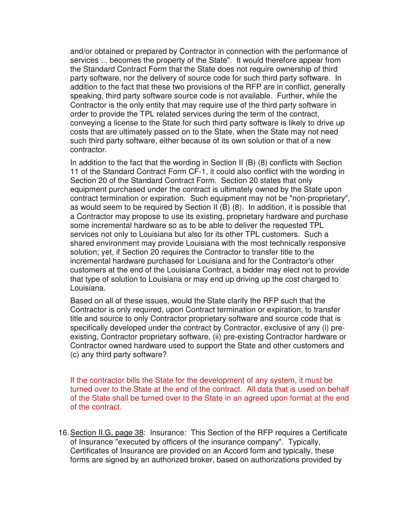and/or obtained or prepared by Contractor in connection with the performance of services ... becomes the property of the State". It would therefore appear from the Standard Contract Form that the State does not require ownership of third party software, nor the delivery of source code for such third party software. In addition to the fact that these two provisions of the RFP are in conflict, generally speaking, third party software source code is not available. Further, while the Contractor is the only entity that may require use of the third party software in order to provide the TPL related services during the term of the contract, conveying a license to the State for such third party software is likely to drive up costs that are ultimately passed on to the State, when the State may not need such third party software, either because of its own solution or that of a new contractor.

In addition to the fact that the wording in Section II (B) (8) conflicts with Section 11 of the Standard Contract Form CF-1, it could also conflict with the wording in Section 20 of the Standard Contract Form. Section 20 states that only equipment purchased under the contract is ultimately owned by the State upon contract termination or expiration. Such equipment may not be "non-proprietary", as would seem to be required by Section II (B) (8). In addition, it is possible that a Contractor may propose to use its existing, proprietary hardware and purchase some incremental hardware so as to be able to deliver the requested TPL services not only to Louisiana but also for its other TPL customers. Such a shared environment may provide Louisiana with the most technically responsive solution; yet, if Section 20 requires the Contractor to transfer title to the incremental hardware purchased for Louisiana and for the Contractor's other customers at the end of the Louisiana Contract, a bidder may elect not to provide that type of solution to Louisiana or may end up driving up the cost charged to Louisiana.

Based on all of these issues, would the State clarify the RFP such that the Contractor is only required, upon Contract termination or expiration, to transfer title and source to only Contractor proprietary software and source code that is specifically developed under the contract by Contractor, exclusive of any (i) preexisting, Contractor proprietary software, (ii) pre-existing Contractor hardware or Contractor owned hardware used to support the State and other customers and (c) any third party software?

If the contractor bills the State for the development of any system, it must be turned over to the State at the end of the contract. All data that is used on behalf of the State shall be turned over to the State in an agreed upon format at the end of the contract.

16. Section II.G, page 38: Insurance: This Section of the RFP requires a Certificate of Insurance "executed by officers of the insurance company". Typically, Certificates of Insurance are provided on an Accord form and typically, these forms are signed by an authorized broker, based on authorizations provided by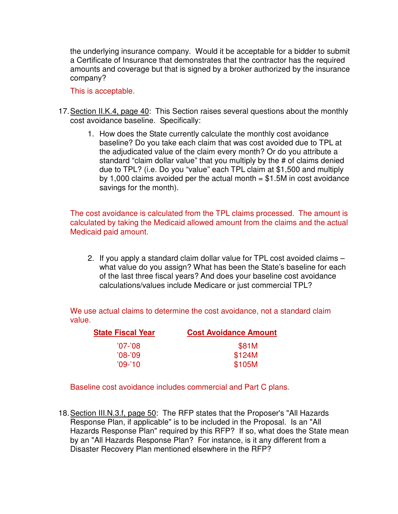the underlying insurance company. Would it be acceptable for a bidder to submit a Certificate of Insurance that demonstrates that the contractor has the required amounts and coverage but that is signed by a broker authorized by the insurance company?

This is acceptable.

- 17. Section II.K.4, page 40: This Section raises several questions about the monthly cost avoidance baseline. Specifically:
	- 1. How does the State currently calculate the monthly cost avoidance baseline? Do you take each claim that was cost avoided due to TPL at the adjudicated value of the claim every month? Or do you attribute a standard "claim dollar value" that you multiply by the # of claims denied due to TPL? (i.e. Do you "value" each TPL claim at \$1,500 and multiply by 1,000 claims avoided per the actual month  $= $1.5M$  in cost avoidance savings for the month).

The cost avoidance is calculated from the TPL claims processed. The amount is calculated by taking the Medicaid allowed amount from the claims and the actual Medicaid paid amount.

2. If you apply a standard claim dollar value for TPL cost avoided claims – what value do you assign? What has been the State's baseline for each of the last three fiscal years? And does your baseline cost avoidance calculations/values include Medicare or just commercial TPL?

We use actual claims to determine the cost avoidance, not a standard claim value.

| <b>State Fiscal Year</b> | <b>Cost Avoidance Amount</b> |  |
|--------------------------|------------------------------|--|
| '07-'08                  | \$81M                        |  |
| $'08 - '09'$             | \$124M                       |  |
| $'09-'10'$               | \$105M                       |  |
|                          |                              |  |

Baseline cost avoidance includes commercial and Part C plans.

<sup>18.</sup> Section III.N.3.f, page 50: The RFP states that the Proposer's "All Hazards Response Plan, if applicable" is to be included in the Proposal. Is an "All Hazards Response Plan" required by this RFP? If so, what does the State mean by an "All Hazards Response Plan? For instance, is it any different from a Disaster Recovery Plan mentioned elsewhere in the RFP?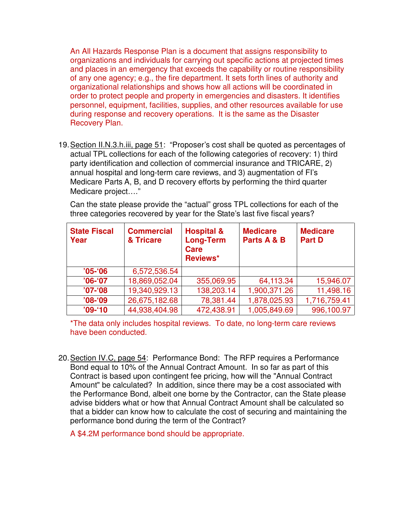An All Hazards Response Plan is a document that assigns responsibility to organizations and individuals for carrying out specific actions at projected times and places in an emergency that exceeds the capability or routine responsibility of any one agency; e.g., the fire department. It sets forth lines of authority and organizational relationships and shows how all actions will be coordinated in order to protect people and property in emergencies and disasters. It identifies personnel, equipment, facilities, supplies, and other resources available for use during response and recovery operations. It is the same as the Disaster Recovery Plan.

19. Section II.N.3.h.iii, page 51: "Proposer's cost shall be quoted as percentages of actual TPL collections for each of the following categories of recovery: 1) third party identification and collection of commercial insurance and TRICARE, 2) annual hospital and long-term care reviews, and 3) augmentation of FI's Medicare Parts A, B, and D recovery efforts by performing the third quarter Medicare project…."

| Can the state please provide the "actual" gross TPL collections for each of the |
|---------------------------------------------------------------------------------|
| three categories recovered by year for the State's last five fiscal years?      |

| <b>State Fiscal</b><br>Year | <b>Commercial</b><br>& Tricare | <b>Hospital &amp;</b><br><b>Long-Term</b><br><b>Care</b><br>Reviews* | <b>Medicare</b><br>Parts A & B | <b>Medicare</b><br><b>Part D</b> |
|-----------------------------|--------------------------------|----------------------------------------------------------------------|--------------------------------|----------------------------------|
| $'05 - 06$                  | 6,572,536.54                   |                                                                      |                                |                                  |
| $'06-'07$                   | 18,869,052.04                  | 355,069.95                                                           | 64,113.34                      | 15,946.07                        |
| $'07 - 08$                  | 19,340,929.13                  | 138,203.14                                                           | 1,900,371.26                   | 11,498.16                        |
| $'08 - 09$                  | 26,675,182.68                  | 78,381.44                                                            | 1,878,025.93                   | 1,716,759.41                     |
| $'09 - 10'$                 | 44,938,404.98                  | 472,438.91                                                           | 1,005,849.69                   | 996,100.97                       |

\*The data only includes hospital reviews. To date, no long-term care reviews have been conducted.

20. Section IV.C, page 54: Performance Bond: The RFP requires a Performance Bond equal to 10% of the Annual Contract Amount. In so far as part of this Contract is based upon contingent fee pricing, how will the "Annual Contract Amount" be calculated? In addition, since there may be a cost associated with the Performance Bond, albeit one borne by the Contractor, can the State please advise bidders what or how that Annual Contract Amount shall be calculated so that a bidder can know how to calculate the cost of securing and maintaining the performance bond during the term of the Contract?

A \$4.2M performance bond should be appropriate.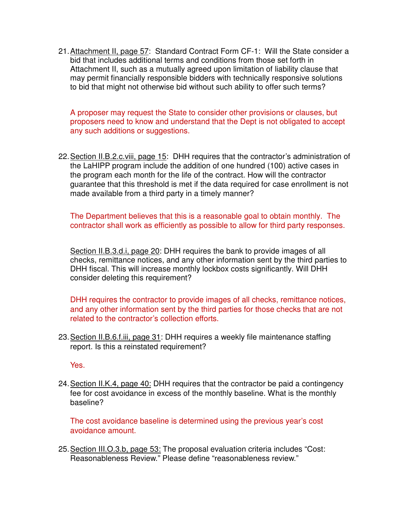21. Attachment II, page 57: Standard Contract Form CF-1: Will the State consider a bid that includes additional terms and conditions from those set forth in Attachment II, such as a mutually agreed upon limitation of liability clause that may permit financially responsible bidders with technically responsive solutions to bid that might not otherwise bid without such ability to offer such terms?

A proposer may request the State to consider other provisions or clauses, but proposers need to know and understand that the Dept is not obligated to accept any such additions or suggestions.

22. Section II.B.2.c.viii, page 15: DHH requires that the contractor's administration of the LaHIPP program include the addition of one hundred (100) active cases in the program each month for the life of the contract. How will the contractor guarantee that this threshold is met if the data required for case enrollment is not made available from a third party in a timely manner?

The Department believes that this is a reasonable goal to obtain monthly. The contractor shall work as efficiently as possible to allow for third party responses.

Section II.B.3.d.i, page 20: DHH requires the bank to provide images of all checks, remittance notices, and any other information sent by the third parties to DHH fiscal. This will increase monthly lockbox costs significantly. Will DHH consider deleting this requirement?

DHH requires the contractor to provide images of all checks, remittance notices, and any other information sent by the third parties for those checks that are not related to the contractor's collection efforts.

23. Section II.B.6.f.iii, page 31: DHH requires a weekly file maintenance staffing report. Is this a reinstated requirement?

Yes.

24. Section II.K.4, page 40: DHH requires that the contractor be paid a contingency fee for cost avoidance in excess of the monthly baseline. What is the monthly baseline?

The cost avoidance baseline is determined using the previous year's cost avoidance amount.

25. Section III.O.3.b, page 53: The proposal evaluation criteria includes "Cost: Reasonableness Review." Please define "reasonableness review."